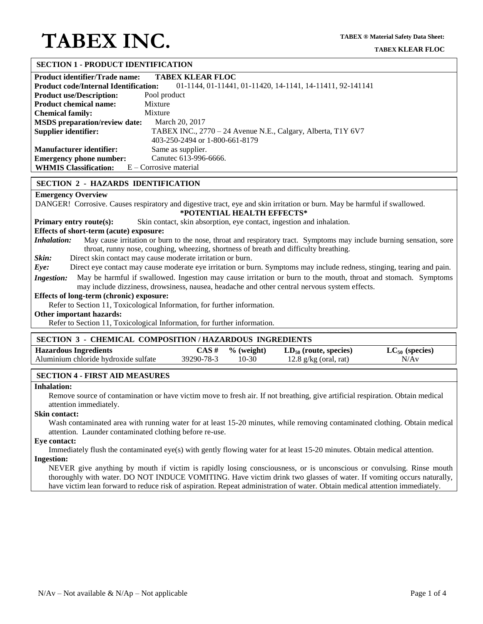#### **SECTION 1 - PRODUCT IDENTIFICATION**

| <b>Product identifier/Trade name:</b>                                                                     | <b>TABEX KLEAR FLOC</b>                                      |  |  |  |
|-----------------------------------------------------------------------------------------------------------|--------------------------------------------------------------|--|--|--|
| 01-1144, 01-11441, 01-11420, 14-1141, 14-11411, 92-141141<br><b>Product code/Internal Identification:</b> |                                                              |  |  |  |
| <b>Product use/Description:</b>                                                                           | Pool product                                                 |  |  |  |
| <b>Product chemical name:</b>                                                                             | Mixture                                                      |  |  |  |
| <b>Chemical family:</b>                                                                                   | Mixture                                                      |  |  |  |
| <b>MSDS</b> preparation/review date:                                                                      | March 20, 2017                                               |  |  |  |
| Supplier identifier:                                                                                      | TABEX INC., 2770 – 24 Avenue N.E., Calgary, Alberta, T1Y 6V7 |  |  |  |
|                                                                                                           | 403-250-2494 or 1-800-661-8179                               |  |  |  |
| <b>Manufacturer identifier:</b>                                                                           | Same as supplier.                                            |  |  |  |
| <b>Emergency phone number:</b>                                                                            | Canutec 613-996-6666.                                        |  |  |  |
| <b>WHMIS Classification:</b>                                                                              | E – Corrosive material                                       |  |  |  |

#### **SECTION 2 - HAZARDS IDENTIFICATION**

## **Emergency Overview**

DANGER! Corrosive. Causes respiratory and digestive tract, eye and skin irritation or burn. May be harmful if swallowed.

#### **\*POTENTIAL HEALTH EFFECTS\***

**Primary entry route(s):** Skin contact, skin absorption, eye contact, ingestion and inhalation.

**Effects of short-term (acute) exposure:**

*Inhalation:* May cause irritation or burn to the nose, throat and respiratory tract. Symptoms may include burning sensation, sore throat, runny nose, coughing, wheezing, shortness of breath and difficulty breathing.

*Skin:* Direct skin contact may cause moderate irritation or burn.

*Eye:* Direct eye contact may cause moderate eye irritation or burn. Symptoms may include redness, stinging, tearing and pain.

*Ingestion:* May be harmful if swallowed. Ingestion may cause irritation or burn to the mouth, throat and stomach. Symptoms may include dizziness, drowsiness, nausea, headache and other central nervous system effects.

#### **Effects of long-term (chronic) exposure:**

Refer to Section 11, Toxicological Information, for further information.

#### **Other important hazards:**

Refer to Section 11, Toxicological Information, for further information.

#### **SECTION 3 - CHEMICAL COMPOSITION / HAZARDOUS INGREDIENTS**

| <b>Hazardous Ingredients</b>         | CAS #      | $\%$ (weight) | $LD_{50}$ (route, species) | $LC_{50}$ (species) |
|--------------------------------------|------------|---------------|----------------------------|---------------------|
| Aluminium chloride hydroxide sulfate | 39290-78-3 | $10-30$       | 12.8 $g/kg$ (oral, rat)    | N/Av                |

## **SECTION 4 - FIRST AID MEASURES**

#### **Inhalation:**

Remove source of contamination or have victim move to fresh air. If not breathing, give artificial respiration. Obtain medical attention immediately.

#### **Skin contact:**

Wash contaminated area with running water for at least 15-20 minutes, while removing contaminated clothing. Obtain medical attention. Launder contaminated clothing before re-use.

#### **Eye contact:**

Immediately flush the contaminated eye(s) with gently flowing water for at least 15-20 minutes. Obtain medical attention.

## **Ingestion:**

NEVER give anything by mouth if victim is rapidly losing consciousness, or is unconscious or convulsing. Rinse mouth thoroughly with water. DO NOT INDUCE VOMITING. Have victim drink two glasses of water. If vomiting occurs naturally, have victim lean forward to reduce risk of aspiration. Repeat administration of water. Obtain medical attention immediately.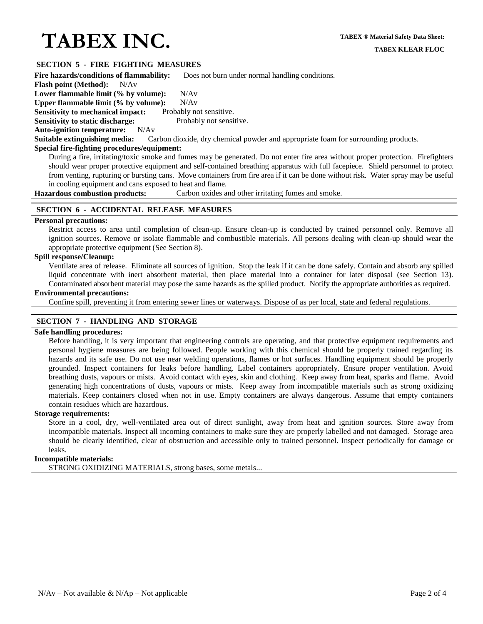#### **SECTION 5 - FIRE FIGHTING MEASURES**

**Fire hazards/conditions of flammability:** Does not burn under normal handling conditions.

**Flash point (Method):** N/Av

Lower flammable limit (% by volume): N/Av

**Upper flammable limit (% by volume):** N/Av

**Sensitivity to mechanical impact:** Probably not sensitive. **Sensitivity to static discharge:** Probably not sensitive.

**Auto-ignition temperature:** N/Av

**Suitable extinguishing media:** Carbon dioxide, dry chemical powder and appropriate foam for surrounding products.

## **Special fire-fighting procedures/equipment:**

During a fire, irritating/toxic smoke and fumes may be generated. Do not enter fire area without proper protection. Firefighters should wear proper protective equipment and self-contained breathing apparatus with full facepiece. Shield personnel to protect from venting, rupturing or bursting cans. Move containers from fire area if it can be done without risk. Water spray may be useful in cooling equipment and cans exposed to heat and flame.

**Hazardous combustion products:** Carbon oxides and other irritating fumes and smoke.

## **SECTION 6 - ACCIDENTAL RELEASE MEASURES**

#### **Personal precautions:**

Restrict access to area until completion of clean-up. Ensure clean-up is conducted by trained personnel only. Remove all ignition sources. Remove or isolate flammable and combustible materials. All persons dealing with clean-up should wear the appropriate protective equipment (See Section 8).

## **Spill response/Cleanup:**

Ventilate area of release. Eliminate all sources of ignition. Stop the leak if it can be done safely. Contain and absorb any spilled liquid concentrate with inert absorbent material, then place material into a container for later disposal (see Section 13). Contaminated absorbent material may pose the same hazards as the spilled product. Notify the appropriate authorities as required.

## **Environmental precautions:**

Confine spill, preventing it from entering sewer lines or waterways. Dispose of as per local, state and federal regulations.

## **SECTION 7 - HANDLING AND STORAGE**

#### **Safe handling procedures:**

Before handling, it is very important that engineering controls are operating, and that protective equipment requirements and personal hygiene measures are being followed. People working with this chemical should be properly trained regarding its hazards and its safe use. Do not use near welding operations, flames or hot surfaces. Handling equipment should be properly grounded. Inspect containers for leaks before handling. Label containers appropriately. Ensure proper ventilation. Avoid breathing dusts, vapours or mists. Avoid contact with eyes, skin and clothing. Keep away from heat, sparks and flame. Avoid generating high concentrations of dusts, vapours or mists. Keep away from incompatible materials such as strong oxidizing materials. Keep containers closed when not in use. Empty containers are always dangerous. Assume that empty containers contain residues which are hazardous.

#### **Storage requirements:**

Store in a cool, dry, well-ventilated area out of direct sunlight, away from heat and ignition sources. Store away from incompatible materials. Inspect all incoming containers to make sure they are properly labelled and not damaged. Storage area should be clearly identified, clear of obstruction and accessible only to trained personnel. Inspect periodically for damage or leaks.

## **Incompatible materials:**

STRONG OXIDIZING MATERIALS, strong bases, some metals...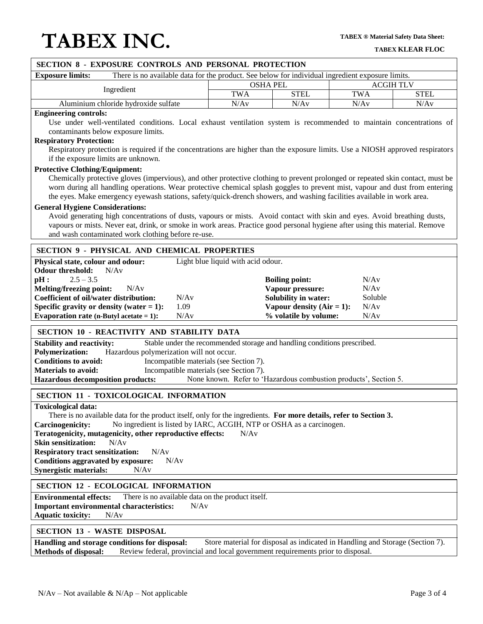| SECTION 8 - EXPOSURE CONTROLS AND PERSONAL PROTECTION                                                                                                                                           |                                                                                    |                                           |                  |             |  |
|-------------------------------------------------------------------------------------------------------------------------------------------------------------------------------------------------|------------------------------------------------------------------------------------|-------------------------------------------|------------------|-------------|--|
| There is no available data for the product. See below for individual ingredient exposure limits.<br><b>Exposure limits:</b>                                                                     |                                                                                    |                                           |                  |             |  |
| Ingredient                                                                                                                                                                                      | <b>OSHA PEL</b>                                                                    |                                           | <b>ACGIH TLV</b> |             |  |
|                                                                                                                                                                                                 | <b>TWA</b>                                                                         | <b>STEL</b>                               | <b>TWA</b>       | <b>STEL</b> |  |
| Aluminium chloride hydroxide sulfate                                                                                                                                                            | N/Av                                                                               | N/Av                                      | N/Av             | N/Av        |  |
| <b>Engineering controls:</b>                                                                                                                                                                    |                                                                                    |                                           |                  |             |  |
| Use under well-ventilated conditions. Local exhaust ventilation system is recommended to maintain concentrations of<br>contaminants below exposure limits.                                      |                                                                                    |                                           |                  |             |  |
| <b>Respiratory Protection:</b>                                                                                                                                                                  |                                                                                    |                                           |                  |             |  |
| Respiratory protection is required if the concentrations are higher than the exposure limits. Use a NIOSH approved respirators                                                                  |                                                                                    |                                           |                  |             |  |
| if the exposure limits are unknown.                                                                                                                                                             |                                                                                    |                                           |                  |             |  |
| <b>Protective Clothing/Equipment:</b>                                                                                                                                                           |                                                                                    |                                           |                  |             |  |
| Chemically protective gloves (impervious), and other protective clothing to prevent prolonged or repeated skin contact, must be                                                                 |                                                                                    |                                           |                  |             |  |
| worn during all handling operations. Wear protective chemical splash goggles to prevent mist, vapour and dust from entering                                                                     |                                                                                    |                                           |                  |             |  |
| the eyes. Make emergency eyewash stations, safety/quick-drench showers, and washing facilities available in work area.                                                                          |                                                                                    |                                           |                  |             |  |
| <b>General Hygiene Considerations:</b><br>Avoid generating high concentrations of dusts, vapours or mists. Avoid contact with skin and eyes. Avoid breathing dusts,                             |                                                                                    |                                           |                  |             |  |
| vapours or mists. Never eat, drink, or smoke in work areas. Practice good personal hygiene after using this material. Remove                                                                    |                                                                                    |                                           |                  |             |  |
| and wash contaminated work clothing before re-use.                                                                                                                                              |                                                                                    |                                           |                  |             |  |
|                                                                                                                                                                                                 |                                                                                    |                                           |                  |             |  |
| <b>SECTION 9 - PHYSICAL AND CHEMICAL PROPERTIES</b>                                                                                                                                             |                                                                                    |                                           |                  |             |  |
| Physical state, colour and odour:                                                                                                                                                               | Light blue liquid with acid odour.                                                 |                                           |                  |             |  |
| N/Av<br><b>Odour threshold:</b>                                                                                                                                                                 |                                                                                    |                                           |                  |             |  |
| $2.5 - 3.5$<br>pH:<br><b>Melting/freezing point:</b><br>N/Av                                                                                                                                    |                                                                                    | <b>Boiling point:</b><br>Vapour pressure: | N/Av<br>N/Av     |             |  |
| <b>Coefficient of oil/water distribution:</b><br>N/Av                                                                                                                                           |                                                                                    | <b>Solubility in water:</b>               | Soluble          |             |  |
| Specific gravity or density (water $= 1$ ):<br>1.09                                                                                                                                             |                                                                                    | Vapour density $(Air = 1)$ :              | N/Av             |             |  |
| Evaporation rate (n-Butyl acetate $= 1$ ):<br>N/Av                                                                                                                                              |                                                                                    | % volatile by volume:                     | N/Av             |             |  |
|                                                                                                                                                                                                 |                                                                                    |                                           |                  |             |  |
| SECTION 10 - REACTIVITY AND STABILITY DATA                                                                                                                                                      |                                                                                    |                                           |                  |             |  |
| <b>Stability and reactivity:</b>                                                                                                                                                                | Stable under the recommended storage and handling conditions prescribed.           |                                           |                  |             |  |
| Hazardous polymerization will not occur.<br><b>Polymerization:</b>                                                                                                                              |                                                                                    |                                           |                  |             |  |
| <b>Conditions to avoid:</b><br><b>Materials to avoid:</b>                                                                                                                                       | Incompatible materials (see Section 7).<br>Incompatible materials (see Section 7). |                                           |                  |             |  |
| <b>Hazardous decomposition products:</b>                                                                                                                                                        | None known. Refer to 'Hazardous combustion products', Section 5.                   |                                           |                  |             |  |
|                                                                                                                                                                                                 |                                                                                    |                                           |                  |             |  |
| <b>SECTION 11 - TOXICOLOGICAL INFORMATION</b>                                                                                                                                                   |                                                                                    |                                           |                  |             |  |
| <b>Toxicological data:</b>                                                                                                                                                                      |                                                                                    |                                           |                  |             |  |
| There is no available data for the product itself, only for the ingredients. For more details, refer to Section 3.                                                                              |                                                                                    |                                           |                  |             |  |
| No ingredient is listed by IARC, ACGIH, NTP or OSHA as a carcinogen.<br><b>Carcinogenicity:</b><br>Teratogenicity, mutagenicity, other reproductive effects:<br>N/Av                            |                                                                                    |                                           |                  |             |  |
| <b>Skin sensitization:</b><br>N/Av                                                                                                                                                              |                                                                                    |                                           |                  |             |  |
| <b>Respiratory tract sensitization:</b><br>N/Av                                                                                                                                                 |                                                                                    |                                           |                  |             |  |
| Conditions aggravated by exposure:<br>N/Av                                                                                                                                                      |                                                                                    |                                           |                  |             |  |
| <b>Synergistic materials:</b><br>N/Av                                                                                                                                                           |                                                                                    |                                           |                  |             |  |
| <b>SECTION 12 - ECOLOGICAL INFORMATION</b>                                                                                                                                                      |                                                                                    |                                           |                  |             |  |
| <b>Environmental effects:</b><br>There is no available data on the product itself.                                                                                                              |                                                                                    |                                           |                  |             |  |
| <b>Important environmental characteristics:</b><br>N/Av                                                                                                                                         |                                                                                    |                                           |                  |             |  |
| <b>Aquatic toxicity:</b><br>N/Av                                                                                                                                                                |                                                                                    |                                           |                  |             |  |
| <b>SECTION 13 - WASTE DISPOSAL</b>                                                                                                                                                              |                                                                                    |                                           |                  |             |  |
| Handling and storage conditions for disposal:                                                                                                                                                   |                                                                                    |                                           |                  |             |  |
| Store material for disposal as indicated in Handling and Storage (Section 7).<br><b>Methods of disposal:</b><br>Review federal, provincial and local government requirements prior to disposal. |                                                                                    |                                           |                  |             |  |